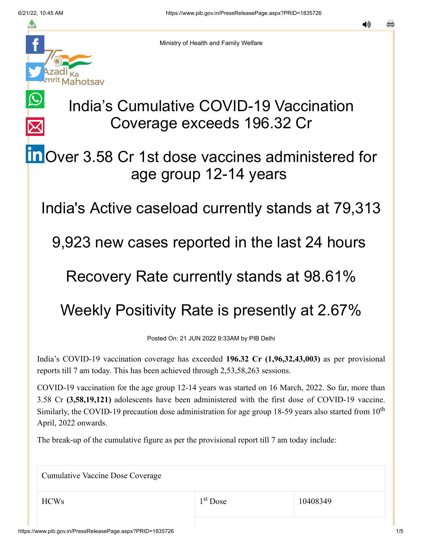$\bigcirc$ 

 $\overline{\times}$ 



Ministry of Health and Family Welfare

# India's Cumulative COVID-19 Vaccination Coverage exceeds 196.32 Cr

## **in** [O](https://www.linkedin.com/shareArticle?mini=true&url=https://pib.gov.in/PressReleasePage.aspx?PRID=1835726&title=India%E2%80%99s%20Cumulative%20COVID-19%20Vaccination%20Coverage%20exceeds%20196.32%20Cr&summary=My%20favorite%20developer%20program&source=LinkedIn)ver 3.58 Cr 1st dose vaccines administered for age group 12-14 years

India's Active caseload currently stands at 79,313

9,923 new cases reported in the last 24 hours

#### Recovery Rate currently stands at 98.61%

## Weekly Positivity Rate is presently at 2.67%

Posted On: 21 JUN 2022 9:33AM by PIB Delhi

India's COVID-19 vaccination coverage has exceeded **196.32 Cr (1,96,32,43,003)** as per provisional reports till 7 am today. This has been achieved through 2,53,58,263 sessions.

COVID-19 vaccination for the age group 12-14 years was started on 16 March, 2022. So far, more than 3.58 Cr **(3,58,19,121)** adolescents have been administered with the first dose of COVID-19 vaccine. Similarly, the COVID-19 precaution dose administration for age group 18-59 years also started from  $10<sup>th</sup>$ April, 2022 onwards.

The break-up of the cumulative figure as per the provisional report till 7 am today include:

Cumulative Vaccine Dose Coverage

1<sup>st</sup> Dose

 $HCWs$  10408349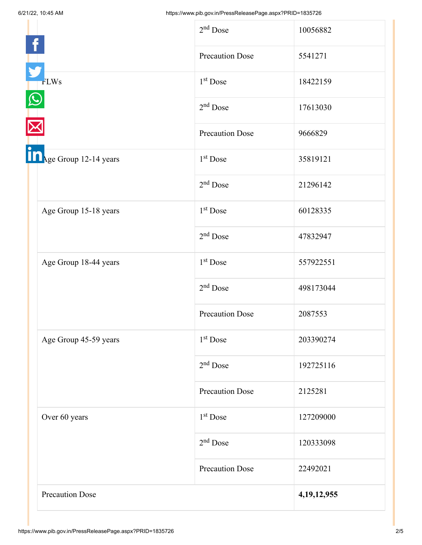|                                                | $2nd$ Dose             | 10056882       |
|------------------------------------------------|------------------------|----------------|
|                                                | <b>Precaution Dose</b> | 5541271        |
| <b>FLWs</b>                                    | 1 <sup>st</sup> Dose   | 18422159       |
|                                                | $2nd$ Dose             | 17613030       |
|                                                | <b>Precaution Dose</b> | 9666829        |
| Age Group 12-14 years<br>Age Group 15-18 years | 1 <sup>st</sup> Dose   | 35819121       |
|                                                | $2nd$ Dose             | 21296142       |
|                                                | $1st$ Dose             | 60128335       |
|                                                | $2nd$ Dose             | 47832947       |
| Age Group 18-44 years                          | 1 <sup>st</sup> Dose   | 557922551      |
|                                                | $2nd$ Dose             | 498173044      |
|                                                | <b>Precaution Dose</b> | 2087553        |
| Age Group 45-59 years                          | 1 <sup>st</sup> Dose   | 203390274      |
|                                                | $2nd$ Dose             | 192725116      |
|                                                | <b>Precaution Dose</b> | 2125281        |
| Over 60 years                                  | 1 <sup>st</sup> Dose   | 127209000      |
|                                                | $2nd$ Dose             | 120333098      |
|                                                | <b>Precaution Dose</b> | 22492021       |
| <b>Precaution Dose</b>                         |                        | 4, 19, 12, 955 |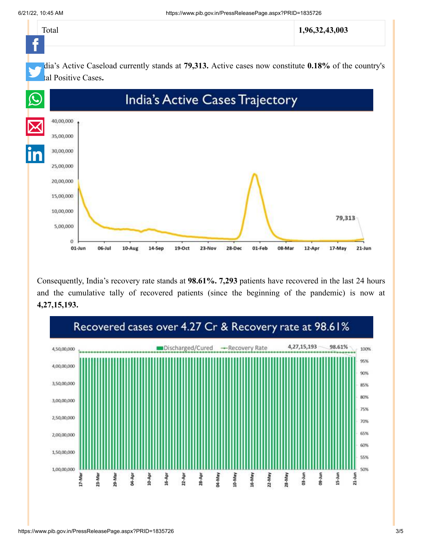

Consequently, India's recovery rate stands at **98.61%. 7,293** patients have recovered in the last 24 hours and the cumulative tally of recovered patients (since the beginning of the pandemic) is now at **4,27,15,193.**

23-Nov

28-Dec

01-Feb

08-Mar

12-Apr

17-May

 $21$ -Jun

 $19-Oct$ 



01-Jun

06-Jul

10-Aug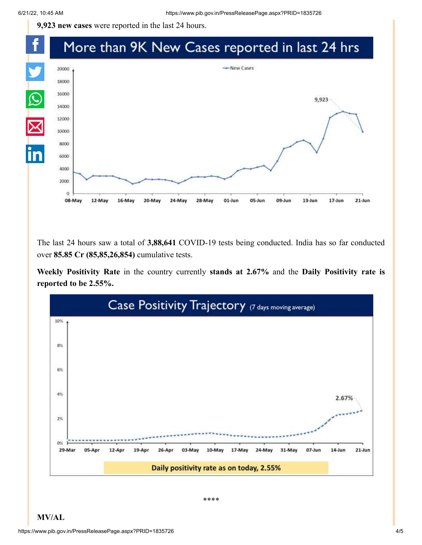f

**9,923 new cases** were reported in the last 24 hours.

#### More than 9K New Cases reported in last 24 hrs



The last 24 hours saw a total of **3,88,641** COVID-19 tests being conducted. India has so far conducted over **85.85 Cr (85,85,26,854)** cumulative tests.

**Weekly Positivity Rate** in the country currently **stands at 2.67%** and the **Daily Positivity rate is reported to be 2.55%.**



**MV/AL**